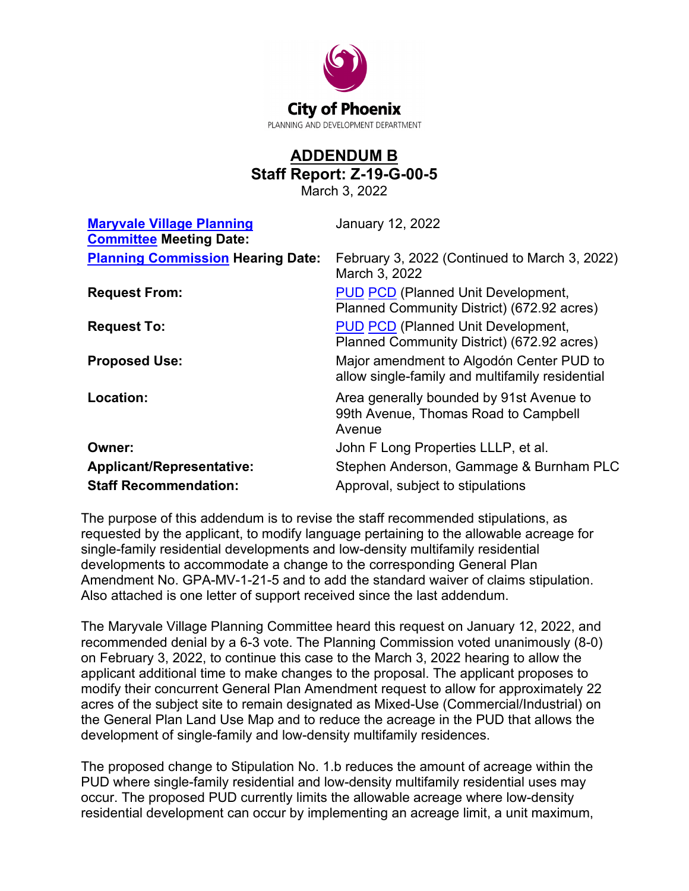

## **ADDENDUM B Staff Report: Z-19-G-00-5**

March 3, 2022

| <b>January 12, 2022</b>                                                                     |
|---------------------------------------------------------------------------------------------|
| February 3, 2022 (Continued to March 3, 2022)<br>March 3, 2022                              |
| <b>PUD PCD (Planned Unit Development,</b><br>Planned Community District) (672.92 acres)     |
| <b>PUD PCD (Planned Unit Development,</b><br>Planned Community District) (672.92 acres)     |
| Major amendment to Algodón Center PUD to<br>allow single-family and multifamily residential |
| Area generally bounded by 91st Avenue to<br>99th Avenue, Thomas Road to Campbell<br>Avenue  |
| John F Long Properties LLLP, et al.                                                         |
| Stephen Anderson, Gammage & Burnham PLC                                                     |
| Approval, subject to stipulations                                                           |
|                                                                                             |

The purpose of this addendum is to revise the staff recommended stipulations, as requested by the applicant, to modify language pertaining to the allowable acreage for single-family residential developments and low-density multifamily residential developments to accommodate a change to the corresponding General Plan Amendment No. GPA-MV-1-21-5 and to add the standard waiver of claims stipulation. Also attached is one letter of support received since the last addendum.

The Maryvale Village Planning Committee heard this request on January 12, 2022, and recommended denial by a 6-3 vote. The Planning Commission voted unanimously (8-0) on February 3, 2022, to continue this case to the March 3, 2022 hearing to allow the applicant additional time to make changes to the proposal. The applicant proposes to modify their concurrent General Plan Amendment request to allow for approximately 22 acres of the subject site to remain designated as Mixed-Use (Commercial/Industrial) on the General Plan Land Use Map and to reduce the acreage in the PUD that allows the development of single-family and low-density multifamily residences.

The proposed change to Stipulation No. 1.b reduces the amount of acreage within the PUD where single-family residential and low-density multifamily residential uses may occur. The proposed PUD currently limits the allowable acreage where low-density residential development can occur by implementing an acreage limit, a unit maximum,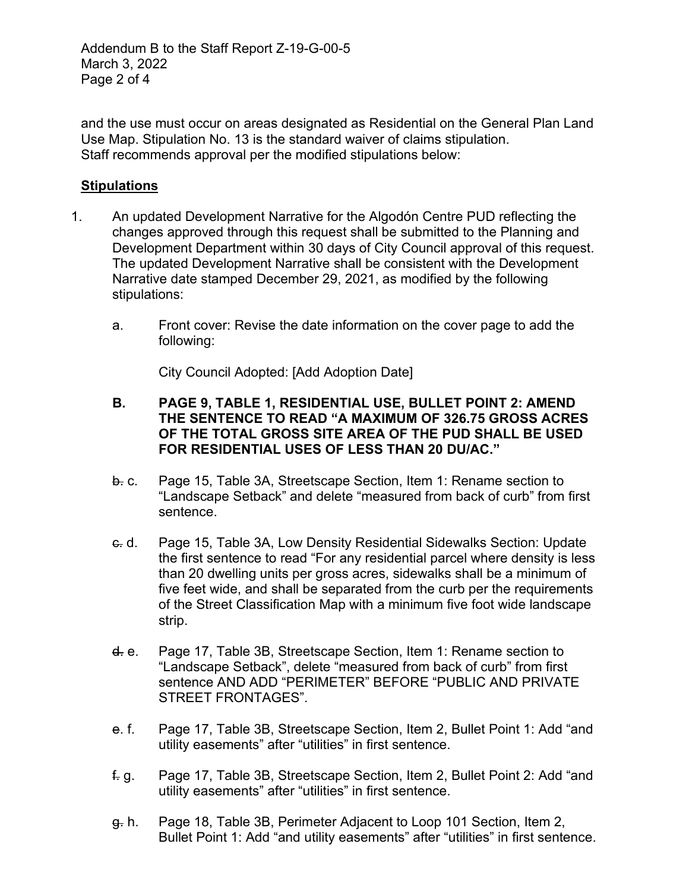Addendum B to the Staff Report Z-19-G-00-5 March 3, 2022 Page 2 of 4

and the use must occur on areas designated as Residential on the General Plan Land Use Map. Stipulation No. 13 is the standard waiver of claims stipulation. Staff recommends approval per the modified stipulations below:

## **Stipulations**

- 1. An updated Development Narrative for the Algodón Centre PUD reflecting the changes approved through this request shall be submitted to the Planning and Development Department within 30 days of City Council approval of this request. The updated Development Narrative shall be consistent with the Development Narrative date stamped December 29, 2021, as modified by the following stipulations:
	- a. Front cover: Revise the date information on the cover page to add the following:

City Council Adopted: [Add Adoption Date]

- **B. PAGE 9, TABLE 1, RESIDENTIAL USE, BULLET POINT 2: AMEND THE SENTENCE TO READ "A MAXIMUM OF 326.75 GROSS ACRES OF THE TOTAL GROSS SITE AREA OF THE PUD SHALL BE USED FOR RESIDENTIAL USES OF LESS THAN 20 DU/AC."**
- b. c. Page 15, Table 3A, Streetscape Section, Item 1: Rename section to "Landscape Setback" and delete "measured from back of curb" from first sentence.
- c. d. Page 15, Table 3A, Low Density Residential Sidewalks Section: Update the first sentence to read "For any residential parcel where density is less than 20 dwelling units per gross acres, sidewalks shall be a minimum of five feet wide, and shall be separated from the curb per the requirements of the Street Classification Map with a minimum five foot wide landscape strip.
- d. e. Page 17, Table 3B, Streetscape Section, Item 1: Rename section to "Landscape Setback", delete "measured from back of curb" from first sentence AND ADD "PERIMETER" BEFORE "PUBLIC AND PRIVATE STREET FRONTAGES".
- e. f. Page 17, Table 3B, Streetscape Section, Item 2, Bullet Point 1: Add "and utility easements" after "utilities" in first sentence.
- f. g. Page 17, Table 3B, Streetscape Section, Item 2, Bullet Point 2: Add "and utility easements" after "utilities" in first sentence.
- g. h. Page 18, Table 3B, Perimeter Adjacent to Loop 101 Section, Item 2, Bullet Point 1: Add "and utility easements" after "utilities" in first sentence.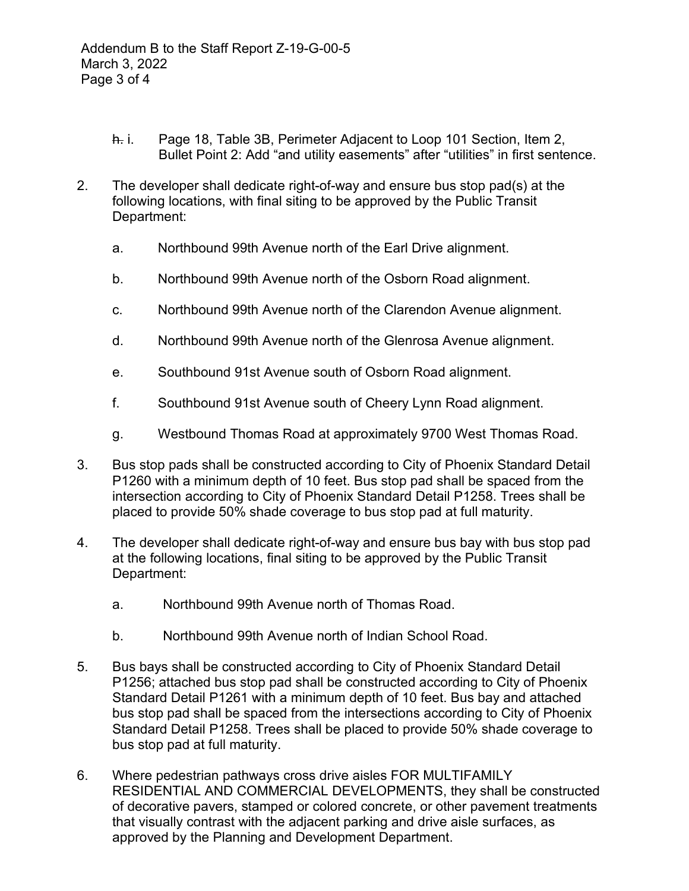- h. i. Page 18, Table 3B, Perimeter Adjacent to Loop 101 Section, Item 2, Bullet Point 2: Add "and utility easements" after "utilities" in first sentence.
- 2. The developer shall dedicate right-of-way and ensure bus stop pad(s) at the following locations, with final siting to be approved by the Public Transit Department:
	- a. Northbound 99th Avenue north of the Earl Drive alignment.
	- b. Northbound 99th Avenue north of the Osborn Road alignment.
	- c. Northbound 99th Avenue north of the Clarendon Avenue alignment.
	- d. Northbound 99th Avenue north of the Glenrosa Avenue alignment.
	- e. Southbound 91st Avenue south of Osborn Road alignment.
	- f. Southbound 91st Avenue south of Cheery Lynn Road alignment.
	- g. Westbound Thomas Road at approximately 9700 West Thomas Road.
- 3. Bus stop pads shall be constructed according to City of Phoenix Standard Detail P1260 with a minimum depth of 10 feet. Bus stop pad shall be spaced from the intersection according to City of Phoenix Standard Detail P1258. Trees shall be placed to provide 50% shade coverage to bus stop pad at full maturity.
- 4. The developer shall dedicate right-of-way and ensure bus bay with bus stop pad at the following locations, final siting to be approved by the Public Transit Department:
	- a. Northbound 99th Avenue north of Thomas Road.
	- b. Northbound 99th Avenue north of Indian School Road.
- 5. Bus bays shall be constructed according to City of Phoenix Standard Detail P1256; attached bus stop pad shall be constructed according to City of Phoenix Standard Detail P1261 with a minimum depth of 10 feet. Bus bay and attached bus stop pad shall be spaced from the intersections according to City of Phoenix Standard Detail P1258. Trees shall be placed to provide 50% shade coverage to bus stop pad at full maturity.
- 6. Where pedestrian pathways cross drive aisles FOR MULTIFAMILY RESIDENTIAL AND COMMERCIAL DEVELOPMENTS, they shall be constructed of decorative pavers, stamped or colored concrete, or other pavement treatments that visually contrast with the adjacent parking and drive aisle surfaces, as approved by the Planning and Development Department.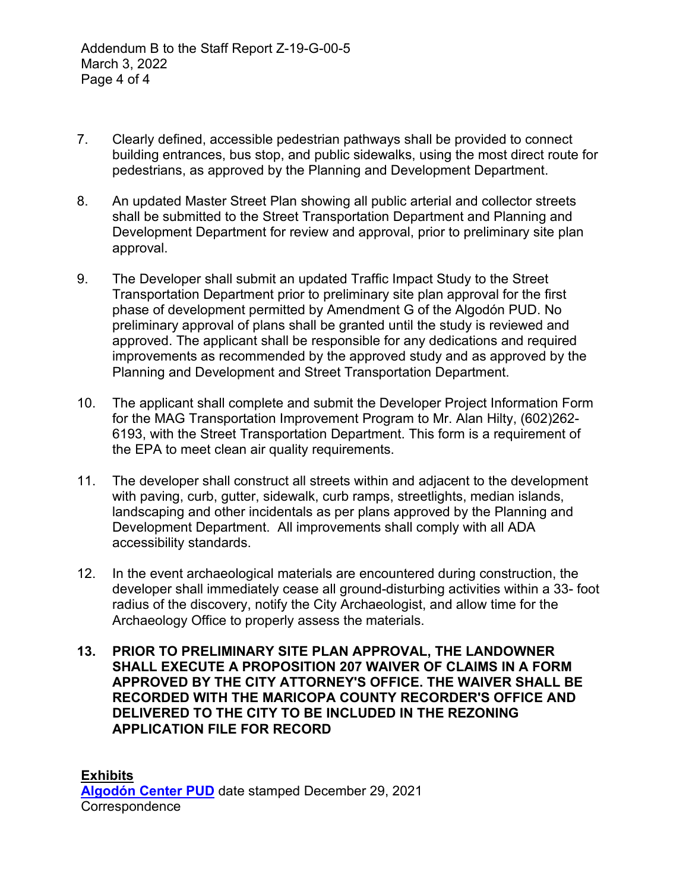- 7. Clearly defined, accessible pedestrian pathways shall be provided to connect building entrances, bus stop, and public sidewalks, using the most direct route for pedestrians, as approved by the Planning and Development Department.
- 8. An updated Master Street Plan showing all public arterial and collector streets shall be submitted to the Street Transportation Department and Planning and Development Department for review and approval, prior to preliminary site plan approval.
- 9. The Developer shall submit an updated Traffic Impact Study to the Street Transportation Department prior to preliminary site plan approval for the first phase of development permitted by Amendment G of the Algodón PUD. No preliminary approval of plans shall be granted until the study is reviewed and approved. The applicant shall be responsible for any dedications and required improvements as recommended by the approved study and as approved by the Planning and Development and Street Transportation Department.
- 10. The applicant shall complete and submit the Developer Project Information Form for the MAG Transportation Improvement Program to Mr. Alan Hilty, (602)262- 6193, with the Street Transportation Department. This form is a requirement of the EPA to meet clean air quality requirements.
- 11. The developer shall construct all streets within and adjacent to the development with paving, curb, gutter, sidewalk, curb ramps, streetlights, median islands, landscaping and other incidentals as per plans approved by the Planning and Development Department. All improvements shall comply with all ADA accessibility standards.
- 12. In the event archaeological materials are encountered during construction, the developer shall immediately cease all ground-disturbing activities within a 33- foot radius of the discovery, notify the City Archaeologist, and allow time for the Archaeology Office to properly assess the materials.
- **13. PRIOR TO PRELIMINARY SITE PLAN APPROVAL, THE LANDOWNER SHALL EXECUTE A PROPOSITION 207 WAIVER OF CLAIMS IN A FORM APPROVED BY THE CITY ATTORNEY'S OFFICE. THE WAIVER SHALL BE RECORDED WITH THE MARICOPA COUNTY RECORDER'S OFFICE AND DELIVERED TO THE CITY TO BE INCLUDED IN THE REZONING APPLICATION FILE FOR RECORD**

**Exhibits [Algodón Center PUD](https://www.phoenix.gov/pddsite/Documents/PZ/Z-19-G-00%20hearing%20draft.pdf)** date stamped December 29, 2021 **Correspondence**